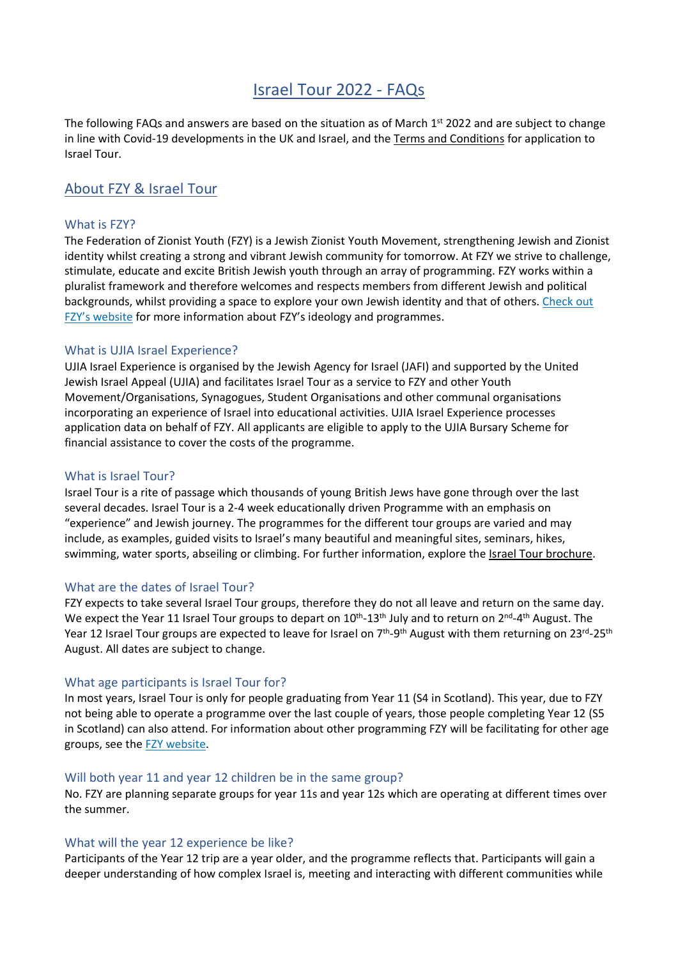# Israel Tour 2022 - FAQs

The following FAQs and answers are based on the situation as of March 1<sup>st</sup> 2022 and are subject to change in line with Covid-19 developments in the UK and Israel, and the Terms and [Conditions](https://0f2b0f42-b256-4e53-9d73-bf41dfd50732.usrfiles.com/ugd/0f2b0f_48eaee80da4749c7a4dd5d5378cd57c8.pdf) for application to Israel Tour.

## About FZY & Israel Tour

### What is FZY?

The Federation of Zionist Youth (FZY) is a Jewish Zionist Youth Movement, strengthening Jewish and Zionist identity whilst creating a strong and vibrant Jewish community for tomorrow. At FZY we strive to challenge, stimulate, educate and excite British Jewish youth through an array of programming. FZY works within a pluralist framework and therefore welcomes and respects members from different Jewish and political backgrounds, whilst providing a space to explore your own Jewish identity and that of others. [Check](https://www.fzy.org.uk/) out FZY's [website](https://www.fzy.org.uk/) for more information about FZY's ideology and programmes.

## What is UJIA Israel Experience?

UJIA Israel Experience is organised by the Jewish Agency for Israel (JAFI) and supported by the United Jewish Israel Appeal (UJIA) and facilitates Israel Tour as a service to FZY and other Youth Movement/Organisations, Synagogues, Student Organisations and other communal organisations incorporating an experience of Israel into educational activities. UJIA Israel Experience processes application data on behalf of FZY. All applicants are eligible to apply to the UJIA Bursary Scheme for financial assistance to cover the costs of the programme.

#### What is Israel Tour?

Israel Tour is a rite of passage which thousands of young British Jews have gone through over the last several decades. Israel Tour is a 2-4 week educationally driven Programme with an emphasis on "experience" and Jewish journey. The programmes for the different tour groups are varied and may include, as examples, guided visits to Israel's many beautiful and meaningful sites, seminars, hikes, swimming, water sports, abseiling or climbing. For further information, explore the Israel Tour [brochure.](https://0f2b0f42-b256-4e53-9d73-bf41dfd50732.usrfiles.com/ugd/0f2b0f_92ce2554f4a2428189a4d0a2d05e455b.pdf)

#### What are the dates of Israel Tour?

FZY expects to take several Israel Tour groups, therefore they do not all leave and return on the same day. We expect the Year 11 Israel Tour groups to depart on 10<sup>th</sup>-13<sup>th</sup> July and to return on 2<sup>nd</sup>-4<sup>th</sup> August. The Year 12 Israel Tour groups are expected to leave for Israel on 7<sup>th</sup>-9<sup>th</sup> August with them returning on 23<sup>rd</sup>-25<sup>th</sup> August. All dates are subject to change.

#### What age participants is Israel Tour for?

In most years, Israel Tour is only for people graduating from Year 11 (S4 in Scotland). This year, due to FZY not being able to operate a programme over the last couple of years, those people completing Year 12 (S5 in Scotland) can also attend. For information about other programming FZY will be facilitating for other age groups, see the FZY [website.](https://www.fzy.org.uk/summer-programmes)

#### Will both year 11 and year 12 children be in the same group?

No. FZY are planning separate groups for year 11s and year 12s which are operating at different times over the summer.

#### What will the year 12 experience be like?

Participants of the Year 12 trip are a year older, and the programme reflects that. Participants will gain a deeper understanding of how complex Israel is, meeting and interacting with different communities while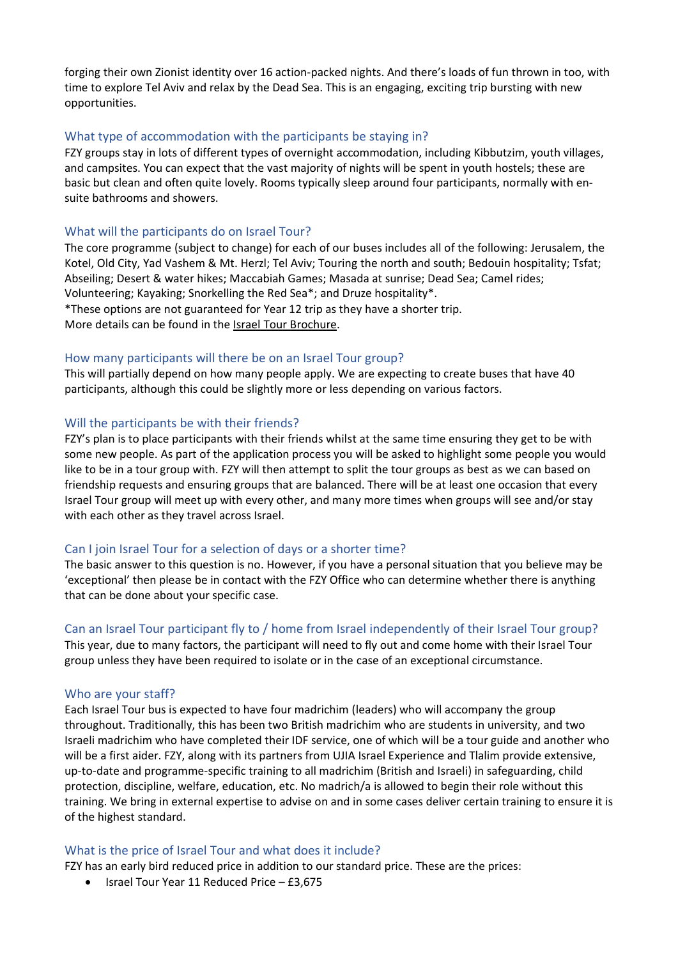forging their own Zionist identity over 16 action-packed nights. And there's loads of fun thrown in too, with time to explore Tel Aviv and relax by the Dead Sea. This is an engaging, exciting trip bursting with new opportunities.

#### What type of accommodation with the participants be staying in?

FZY groups stay in lots of different types of overnight accommodation, including Kibbutzim, youth villages, and campsites. You can expect that the vast majority of nights will be spent in youth hostels; these are basic but clean and often quite lovely. Rooms typically sleep around four participants, normally with ensuite bathrooms and showers.

### What will the participants do on Israel Tour?

The core programme (subject to change) for each of our buses includes all of the following: Jerusalem, the Kotel, Old City, Yad Vashem & Mt. Herzl; Tel Aviv; Touring the north and south; Bedouin hospitality; Tsfat; Abseiling; Desert & water hikes; Maccabiah Games; Masada at sunrise; Dead Sea; Camel rides; Volunteering; Kayaking; Snorkelling the Red Sea\*; and Druze hospitality\*. \*These options are not guaranteed for Year 12 trip as they have a shorter trip.

More details can be found in the Israel Tour [Brochure.](https://0f2b0f42-b256-4e53-9d73-bf41dfd50732.usrfiles.com/ugd/0f2b0f_92ce2554f4a2428189a4d0a2d05e455b.pdf)

#### How many participants will there be on an Israel Tour group?

This will partially depend on how many people apply. We are expecting to create buses that have 40 participants, although this could be slightly more or less depending on various factors.

#### Will the participants be with their friends?

FZY's plan is to place participants with their friends whilst at the same time ensuring they get to be with some new people. As part of the application process you will be asked to highlight some people you would like to be in a tour group with. FZY will then attempt to split the tour groups as best as we can based on friendship requests and ensuring groups that are balanced. There will be at least one occasion that every Israel Tour group will meet up with every other, and many more times when groups will see and/or stay with each other as they travel across Israel.

#### Can I join Israel Tour for a selection of days or a shorter time?

The basic answer to this question is no. However, if you have a personal situation that you believe may be 'exceptional' then please be in contact with the FZY Office who can determine whether there is anything that can be done about your specific case.

#### Can an Israel Tour participant fly to / home from Israel independently of their Israel Tour group?

This year, due to many factors, the participant will need to fly out and come home with their Israel Tour group unless they have been required to isolate or in the case of an exceptional circumstance.

#### Who are your staff?

Each Israel Tour bus is expected to have four madrichim (leaders) who will accompany the group throughout. Traditionally, this has been two British madrichim who are students in university, and two Israeli madrichim who have completed their IDF service, one of which will be a tour guide and another who will be a first aider. FZY, along with its partners from UJIA Israel Experience and Tlalim provide extensive, up-to-date and programme-specific training to all madrichim (British and Israeli) in safeguarding, child protection, discipline, welfare, education, etc. No madrich/a is allowed to begin their role without this training. We bring in external expertise to advise on and in some cases deliver certain training to ensure it is of the highest standard.

#### What is the price of Israel Tour and what does it include?

FZY has an early bird reduced price in addition to our standard price. These are the prices:

• Israel Tour Year 11 Reduced Price – £3,675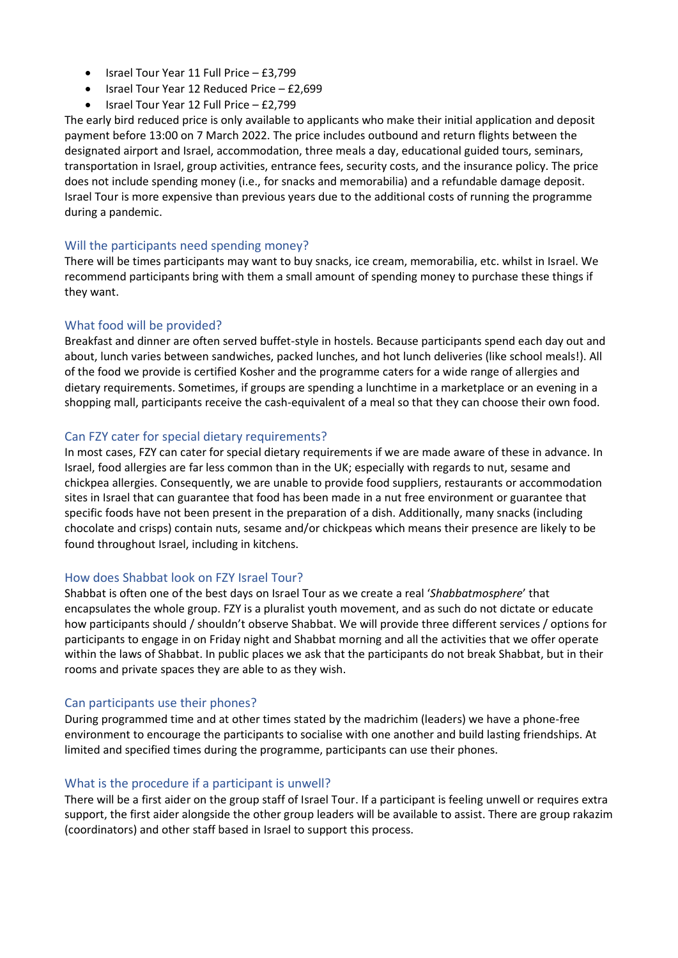- Israel Tour Year 11 Full Price £3,799
- Israel Tour Year 12 Reduced Price £2,699
- Israel Tour Year 12 Full Price £2,799

The early bird reduced price is only available to applicants who make their initial application and deposit payment before 13:00 on 7 March 2022. The price includes outbound and return flights between the designated airport and Israel, accommodation, three meals a day, educational guided tours, seminars, transportation in Israel, group activities, entrance fees, security costs, and the insurance policy. The price does not include spending money (i.e., for snacks and memorabilia) and a refundable damage deposit. Israel Tour is more expensive than previous years due to the additional costs of running the programme during a pandemic.

## Will the participants need spending money?

There will be times participants may want to buy snacks, ice cream, memorabilia, etc. whilst in Israel. We recommend participants bring with them a small amount of spending money to purchase these things if they want.

## What food will be provided?

Breakfast and dinner are often served buffet-style in hostels. Because participants spend each day out and about, lunch varies between sandwiches, packed lunches, and hot lunch deliveries (like school meals!). All of the food we provide is certified Kosher and the programme caters for a wide range of allergies and dietary requirements. Sometimes, if groups are spending a lunchtime in a marketplace or an evening in a shopping mall, participants receive the cash-equivalent of a meal so that they can choose their own food.

## Can FZY cater for special dietary requirements?

In most cases, FZY can cater for special dietary requirements if we are made aware of these in advance. In Israel, food allergies are far less common than in the UK; especially with regards to nut, sesame and chickpea allergies. Consequently, we are unable to provide food suppliers, restaurants or accommodation sites in Israel that can guarantee that food has been made in a nut free environment or guarantee that specific foods have not been present in the preparation of a dish. Additionally, many snacks (including chocolate and crisps) contain nuts, sesame and/or chickpeas which means their presence are likely to be found throughout Israel, including in kitchens.

## How does Shabbat look on FZY Israel Tour?

Shabbat is often one of the best days on Israel Tour as we create a real '*Shabbatmosphere*' that encapsulates the whole group. FZY is a pluralist youth movement, and as such do not dictate or educate how participants should / shouldn't observe Shabbat. We will provide three different services / options for participants to engage in on Friday night and Shabbat morning and all the activities that we offer operate within the laws of Shabbat. In public places we ask that the participants do not break Shabbat, but in their rooms and private spaces they are able to as they wish.

#### Can participants use their phones?

During programmed time and at other times stated by the madrichim (leaders) we have a phone-free environment to encourage the participants to socialise with one another and build lasting friendships. At limited and specified times during the programme, participants can use their phones.

#### What is the procedure if a participant is unwell?

There will be a first aider on the group staff of Israel Tour. If a participant is feeling unwell or requires extra support, the first aider alongside the other group leaders will be available to assist. There are group rakazim (coordinators) and other staff based in Israel to support this process.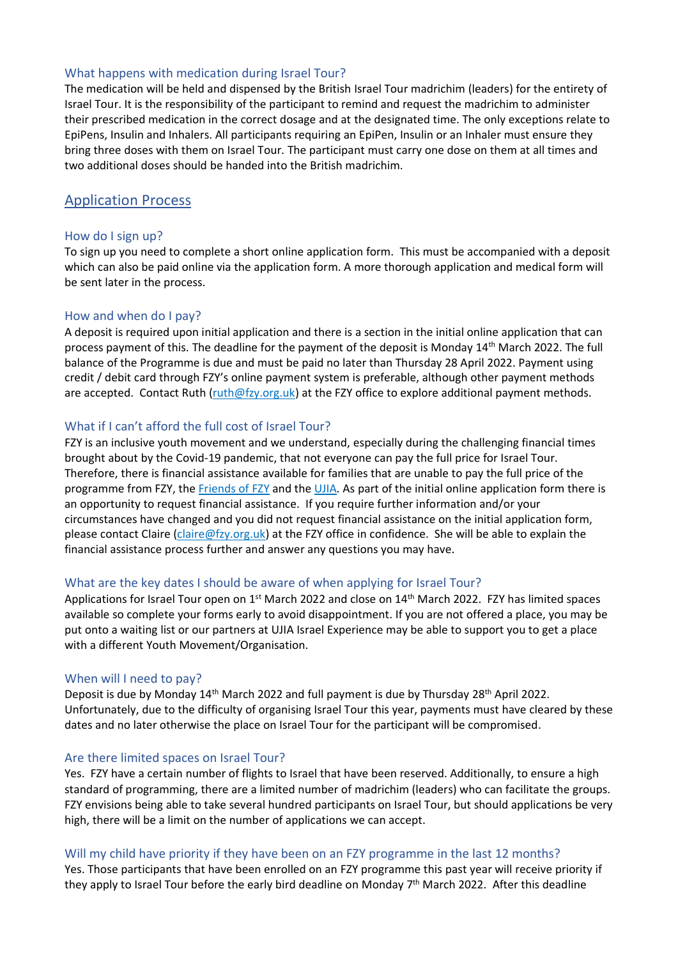## What happens with medication during Israel Tour?

The medication will be held and dispensed by the British Israel Tour madrichim (leaders) for the entirety of Israel Tour. It is the responsibility of the participant to remind and request the madrichim to administer their prescribed medication in the correct dosage and at the designated time. The only exceptions relate to EpiPens, Insulin and Inhalers. All participants requiring an EpiPen, Insulin or an Inhaler must ensure they bring three doses with them on Israel Tour. The participant must carry one dose on them at all times and two additional doses should be handed into the British madrichim.

## Application Process

## How do I sign up?

To sign up you need to complete a short online application form. This must be accompanied with a deposit which can also be paid online via the application form. A more thorough application and medical form will be sent later in the process.

#### How and when do I pay?

A deposit is required upon initial application and there is a section in the initial online application that can process payment of this. The deadline for the payment of the deposit is Monday 14<sup>th</sup> March 2022. The full balance of the Programme is due and must be paid no later than Thursday 28 April 2022. Payment using credit / debit card through FZY's online payment system is preferable, although other payment methods are accepted. Contact Ruth [\(ruth@fzy.org.uk\)](mailto:ruth@fzy.org.uk) at the FZY office to explore additional payment methods.

## What if I can't afford the full cost of Israel Tour?

FZY is an inclusive youth movement and we understand, especially during the challenging financial times brought about by the Covid-19 pandemic, that not everyone can pay the full price for Israel Tour. Therefore, there is financial assistance available for families that are unable to pay the full price of the programme from FZY, the [Friends](https://www.ffzy.org.uk/) of FZY and the [UJIA.](https://ujia.org/) As part of the initial online application form there is an opportunity to request financial assistance. If you require further information and/or your circumstances have changed and you did not request financial assistance on the initial application form, please contact Claire [\(claire@fzy.org.uk\)](mailto:claire@fzy.org.uk) at the FZY office in confidence. She will be able to explain the financial assistance process further and answer any questions you may have.

## What are the key dates I should be aware of when applying for Israel Tour?

Applications for Israel Tour open on 1<sup>st</sup> March 2022 and close on 14<sup>th</sup> March 2022. FZY has limited spaces available so complete your forms early to avoid disappointment. If you are not offered a place, you may be put onto a waiting list or our partners at UJIA Israel Experience may be able to support you to get a place with a different Youth Movement/Organisation.

#### When will I need to pay?

Deposit is due by Monday 14<sup>th</sup> March 2022 and full payment is due by Thursday 28<sup>th</sup> April 2022. Unfortunately, due to the difficulty of organising Israel Tour this year, payments must have cleared by these dates and no later otherwise the place on Israel Tour for the participant will be compromised.

#### Are there limited spaces on Israel Tour?

Yes. FZY have a certain number of flights to Israel that have been reserved. Additionally, to ensure a high standard of programming, there are a limited number of madrichim (leaders) who can facilitate the groups. FZY envisions being able to take several hundred participants on Israel Tour, but should applications be very high, there will be a limit on the number of applications we can accept.

#### Will my child have priority if they have been on an FZY programme in the last 12 months?

Yes. Those participants that have been enrolled on an FZY programme this past year will receive priority if they apply to Israel Tour before the early bird deadline on Monday 7<sup>th</sup> March 2022. After this deadline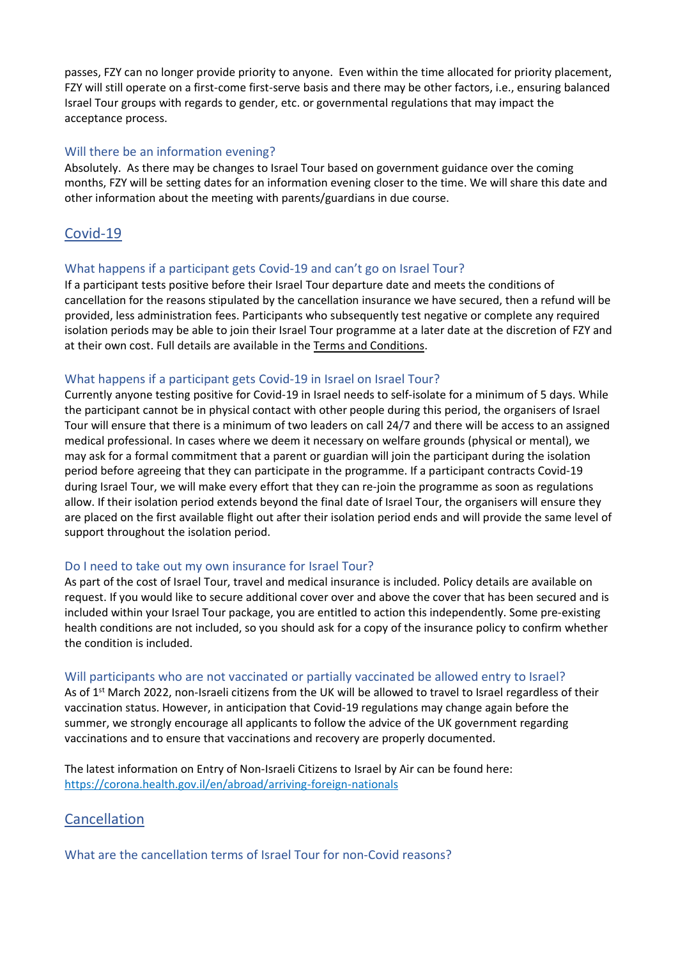passes, FZY can no longer provide priority to anyone. Even within the time allocated for priority placement, FZY will still operate on a first-come first-serve basis and there may be other factors, i.e., ensuring balanced Israel Tour groups with regards to gender, etc. or governmental regulations that may impact the acceptance process.

## Will there be an information evening?

Absolutely. As there may be changes to Israel Tour based on government guidance over the coming months, FZY will be setting dates for an information evening closer to the time. We will share this date and other information about the meeting with parents/guardians in due course.

## Covid-19

## What happens if a participant gets Covid-19 and can't go on Israel Tour?

If a participant tests positive before their Israel Tour departure date and meets the conditions of cancellation for the reasons stipulated by the cancellation insurance we have secured, then a refund will be provided, less administration fees. Participants who subsequently test negative or complete any required isolation periods may be able to join their Israel Tour programme at a later date at the discretion of FZY and at their own cost. Full details are available in the Terms and [Conditions.](https://0f2b0f42-b256-4e53-9d73-bf41dfd50732.usrfiles.com/ugd/0f2b0f_48eaee80da4749c7a4dd5d5378cd57c8.pdf)

## What happens if a participant gets Covid-19 in Israel on Israel Tour?

Currently anyone testing positive for Covid-19 in Israel needs to self-isolate for a minimum of 5 days. While the participant cannot be in physical contact with other people during this period, the organisers of Israel Tour will ensure that there is a minimum of two leaders on call 24/7 and there will be access to an assigned medical professional. In cases where we deem it necessary on welfare grounds (physical or mental), we may ask for a formal commitment that a parent or guardian will join the participant during the isolation period before agreeing that they can participate in the programme. If a participant contracts Covid-19 during Israel Tour, we will make every effort that they can re-join the programme as soon as regulations allow. If their isolation period extends beyond the final date of Israel Tour, the organisers will ensure they are placed on the first available flight out after their isolation period ends and will provide the same level of support throughout the isolation period.

## Do I need to take out my own insurance for Israel Tour?

As part of the cost of Israel Tour, travel and medical insurance is included. Policy details are available on request. If you would like to secure additional cover over and above the cover that has been secured and is included within your Israel Tour package, you are entitled to action this independently. Some pre-existing health conditions are not included, so you should ask for a copy of the insurance policy to confirm whether the condition is included.

#### Will participants who are not vaccinated or partially vaccinated be allowed entry to Israel?

As of 1<sup>st</sup> March 2022, non-Israeli citizens from the UK will be allowed to travel to Israel regardless of their vaccination status. However, in anticipation that Covid-19 regulations may change again before the summer, we strongly encourage all applicants to follow the advice of the UK government regarding vaccinations and to ensure that vaccinations and recovery are properly documented.

The latest information on Entry of Non-Israeli Citizens to Israel by Air can be found here: <https://corona.health.gov.il/en/abroad/arriving-foreign-nationals>

## Cancellation

What are the cancellation terms of Israel Tour for non-Covid reasons?